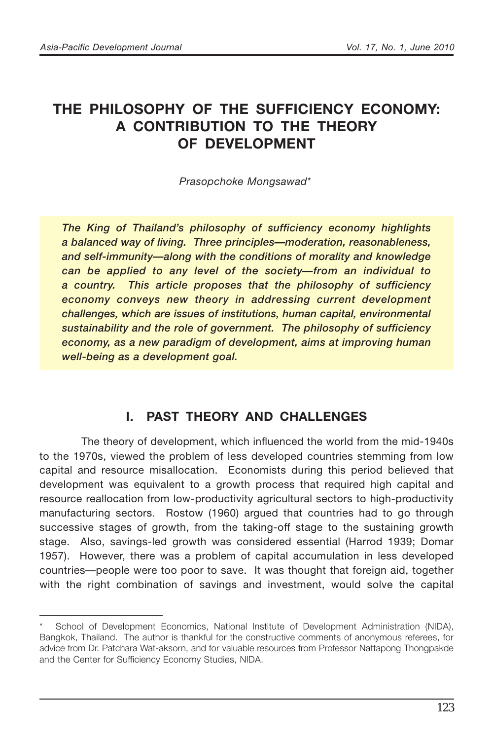# **THE PHILOSOPHY OF THE SUFFICIENCY ECONOMY: A CONTRIBUTION TO THE THEORY OF DEVELOPMENT**

*Prasopchoke Mongsawad\**

*The King of Thailand's philosophy of sufficiency economy highlights a balanced way of living. Three principles—moderation, reasonableness, and self-immunity—along with the conditions of morality and knowledge can be applied to any level of the society—from an individual to a country. This article proposes that the philosophy of sufficiency economy conveys new theory in addressing current development challenges, which are issues of institutions, human capital, environmental sustainability and the role of government. The philosophy of sufficiency economy, as a new paradigm of development, aims at improving human well-being as a development goal.*

### **I. PAST THEORY AND CHALLENGES**

The theory of development, which influenced the world from the mid-1940s to the 1970s, viewed the problem of less developed countries stemming from low capital and resource misallocation. Economists during this period believed that development was equivalent to a growth process that required high capital and resource reallocation from low-productivity agricultural sectors to high-productivity manufacturing sectors. Rostow (1960) argued that countries had to go through successive stages of growth, from the taking-off stage to the sustaining growth stage. Also, savings-led growth was considered essential (Harrod 1939; Domar 1957). However, there was a problem of capital accumulation in less developed countries—people were too poor to save. It was thought that foreign aid, together with the right combination of savings and investment, would solve the capital

School of Development Economics, National Institute of Development Administration (NIDA), Bangkok, Thailand. The author is thankful for the constructive comments of anonymous referees, for advice from Dr. Patchara Wat-aksorn, and for valuable resources from Professor Nattapong Thongpakde and the Center for Sufficiency Economy Studies, NIDA.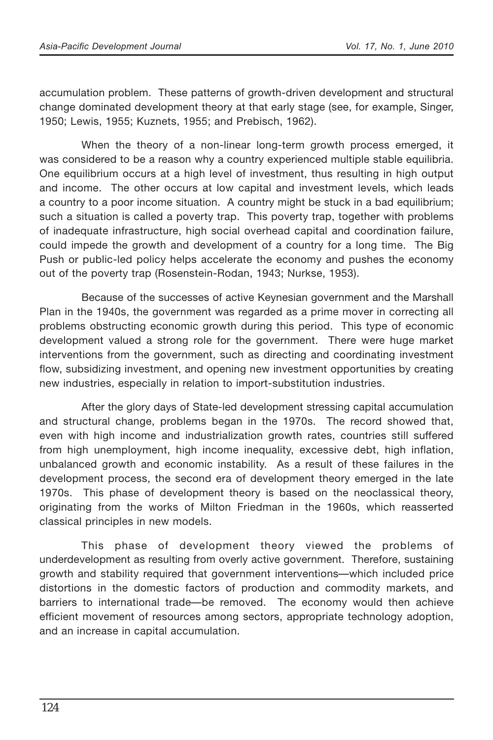accumulation problem. These patterns of growth-driven development and structural change dominated development theory at that early stage (see, for example, Singer, 1950; Lewis, 1955; Kuznets, 1955; and Prebisch, 1962).

When the theory of a non-linear long-term growth process emerged, it was considered to be a reason why a country experienced multiple stable equilibria. One equilibrium occurs at a high level of investment, thus resulting in high output and income. The other occurs at low capital and investment levels, which leads a country to a poor income situation. A country might be stuck in a bad equilibrium; such a situation is called a poverty trap. This poverty trap, together with problems of inadequate infrastructure, high social overhead capital and coordination failure, could impede the growth and development of a country for a long time. The Big Push or public-led policy helps accelerate the economy and pushes the economy out of the poverty trap (Rosenstein-Rodan, 1943; Nurkse, 1953).

Because of the successes of active Keynesian government and the Marshall Plan in the 1940s, the government was regarded as a prime mover in correcting all problems obstructing economic growth during this period. This type of economic development valued a strong role for the government. There were huge market interventions from the government, such as directing and coordinating investment flow, subsidizing investment, and opening new investment opportunities by creating new industries, especially in relation to import-substitution industries.

After the glory days of State-led development stressing capital accumulation and structural change, problems began in the 1970s. The record showed that, even with high income and industrialization growth rates, countries still suffered from high unemployment, high income inequality, excessive debt, high inflation, unbalanced growth and economic instability. As a result of these failures in the development process, the second era of development theory emerged in the late 1970s. This phase of development theory is based on the neoclassical theory, originating from the works of Milton Friedman in the 1960s, which reasserted classical principles in new models.

This phase of development theory viewed the problems of underdevelopment as resulting from overly active government. Therefore, sustaining growth and stability required that government interventions—which included price distortions in the domestic factors of production and commodity markets, and barriers to international trade—be removed. The economy would then achieve efficient movement of resources among sectors, appropriate technology adoption, and an increase in capital accumulation.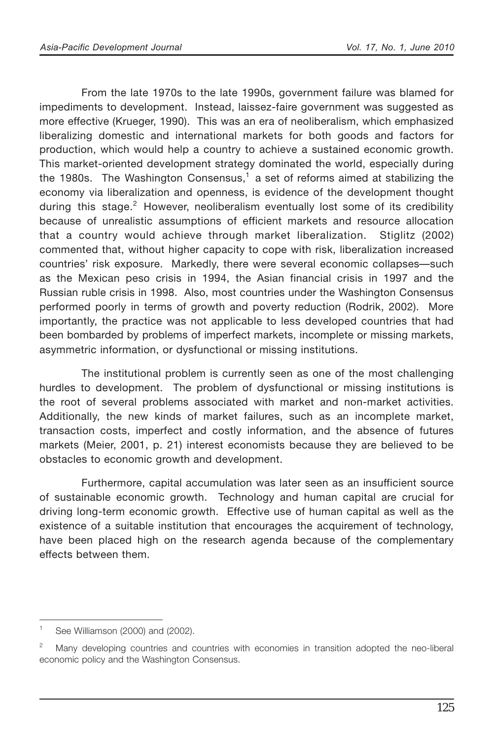From the late 1970s to the late 1990s, government failure was blamed for impediments to development. Instead, laissez-faire government was suggested as more effective (Krueger, 1990). This was an era of neoliberalism, which emphasized liberalizing domestic and international markets for both goods and factors for production, which would help a country to achieve a sustained economic growth. This market-oriented development strategy dominated the world, especially during the 1980s. The Washington Consensus,<sup>1</sup> a set of reforms aimed at stabilizing the economy via liberalization and openness, is evidence of the development thought during this stage.<sup>2</sup> However, neoliberalism eventually lost some of its credibility because of unrealistic assumptions of efficient markets and resource allocation that a country would achieve through market liberalization. Stiglitz (2002) commented that, without higher capacity to cope with risk, liberalization increased countries' risk exposure. Markedly, there were several economic collapses—such as the Mexican peso crisis in 1994, the Asian financial crisis in 1997 and the Russian ruble crisis in 1998. Also, most countries under the Washington Consensus performed poorly in terms of growth and poverty reduction (Rodrik, 2002). More importantly, the practice was not applicable to less developed countries that had been bombarded by problems of imperfect markets, incomplete or missing markets, asymmetric information, or dysfunctional or missing institutions.

The institutional problem is currently seen as one of the most challenging hurdles to development. The problem of dysfunctional or missing institutions is the root of several problems associated with market and non-market activities. Additionally, the new kinds of market failures, such as an incomplete market, transaction costs, imperfect and costly information, and the absence of futures markets (Meier, 2001, p. 21) interest economists because they are believed to be obstacles to economic growth and development.

Furthermore, capital accumulation was later seen as an insufficient source of sustainable economic growth. Technology and human capital are crucial for driving long-term economic growth. Effective use of human capital as well as the existence of a suitable institution that encourages the acquirement of technology, have been placed high on the research agenda because of the complementary effects between them.

See Williamson (2000) and (2002).

Many developing countries and countries with economies in transition adopted the neo-liberal economic policy and the Washington Consensus.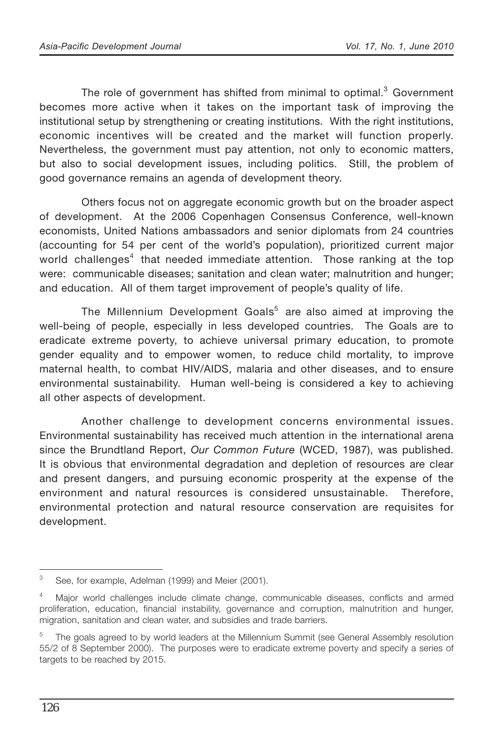The role of government has shifted from minimal to optimal.<sup>3</sup> Government becomes more active when it takes on the important task of improving the institutional setup by strengthening or creating institutions. With the right institutions, economic incentives will be created and the market will function properly. Nevertheless, the government must pay attention, not only to economic matters, but also to social development issues, including politics. Still, the problem of good governance remains an agenda of development theory.

Others focus not on aggregate economic growth but on the broader aspect of development. At the 2006 Copenhagen Consensus Conference, well-known economists, United Nations ambassadors and senior diplomats from 24 countries (accounting for 54 per cent of the world's population), prioritized current major world challenges<sup>4</sup> that needed immediate attention. Those ranking at the top were: communicable diseases; sanitation and clean water; malnutrition and hunger; and education. All of them target improvement of people's quality of life.

The Millennium Development Goals<sup>5</sup> are also aimed at improving the well-being of people, especially in less developed countries. The Goals are to eradicate extreme poverty, to achieve universal primary education, to promote gender equality and to empower women, to reduce child mortality, to improve maternal health, to combat HIV/AIDS, malaria and other diseases, and to ensure environmental sustainability. Human well-being is considered a key to achieving all other aspects of development.

Another challenge to development concerns environmental issues. Environmental sustainability has received much attention in the international arena since the Brundtland Report, *Our Common Future* (WCED, 1987), was published. It is obvious that environmental degradation and depletion of resources are clear and present dangers, and pursuing economic prosperity at the expense of the environment and natural resources is considered unsustainable. Therefore, environmental protection and natural resource conservation are requisites for development.

<sup>&</sup>lt;sup>3</sup> See, for example, Adelman (1999) and Meier (2001).

<sup>4</sup> Major world challenges include climate change, communicable diseases, conflicts and armed proliferation, education, financial instability, governance and corruption, malnutrition and hunger, migration, sanitation and clean water, and subsidies and trade barriers.

<sup>5</sup> The goals agreed to by world leaders at the Millennium Summit (see General Assembly resolution 55/2 of 8 September 2000). The purposes were to eradicate extreme poverty and specify a series of targets to be reached by 2015.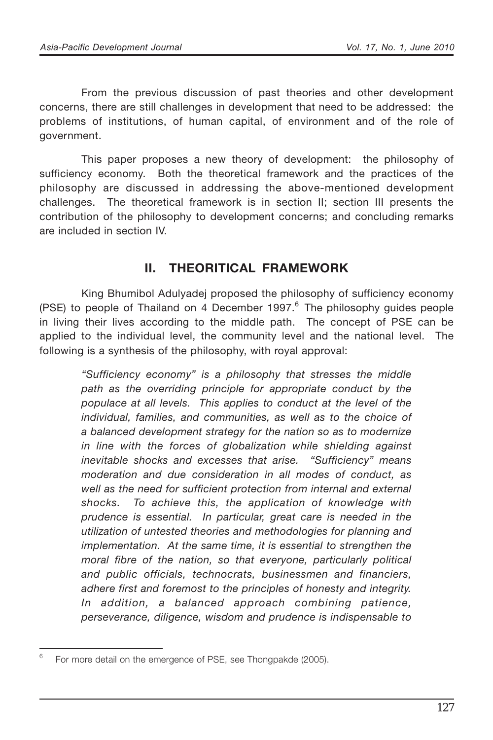From the previous discussion of past theories and other development concerns, there are still challenges in development that need to be addressed: the problems of institutions, of human capital, of environment and of the role of government.

This paper proposes a new theory of development: the philosophy of sufficiency economy. Both the theoretical framework and the practices of the philosophy are discussed in addressing the above-mentioned development challenges. The theoretical framework is in section II; section III presents the contribution of the philosophy to development concerns; and concluding remarks are included in section IV.

### **II. THEORITICAL FRAMEWORK**

King Bhumibol Adulyadej proposed the philosophy of sufficiency economy (PSE) to people of Thailand on 4 December 1997. $6$  The philosophy guides people in living their lives according to the middle path. The concept of PSE can be applied to the individual level, the community level and the national level. The following is a synthesis of the philosophy, with royal approval:

*"Sufficiency economy" is a philosophy that stresses the middle path as the overriding principle for appropriate conduct by the populace at all levels. This applies to conduct at the level of the individual, families, and communities, as well as to the choice of a balanced development strategy for the nation so as to modernize in line with the forces of globalization while shielding against inevitable shocks and excesses that arise. "Sufficiency" means moderation and due consideration in all modes of conduct, as well as the need for sufficient protection from internal and external shocks. To achieve this, the application of knowledge with prudence is essential. In particular, great care is needed in the utilization of untested theories and methodologies for planning and implementation. At the same time, it is essential to strengthen the moral fibre of the nation, so that everyone, particularly political and public officials, technocrats, businessmen and financiers, adhere first and foremost to the principles of honesty and integrity. In addition, a balanced approach combining patience, perseverance, diligence, wisdom and prudence is indispensable to*

 $6$  For more detail on the emergence of PSE, see Thongpakde (2005).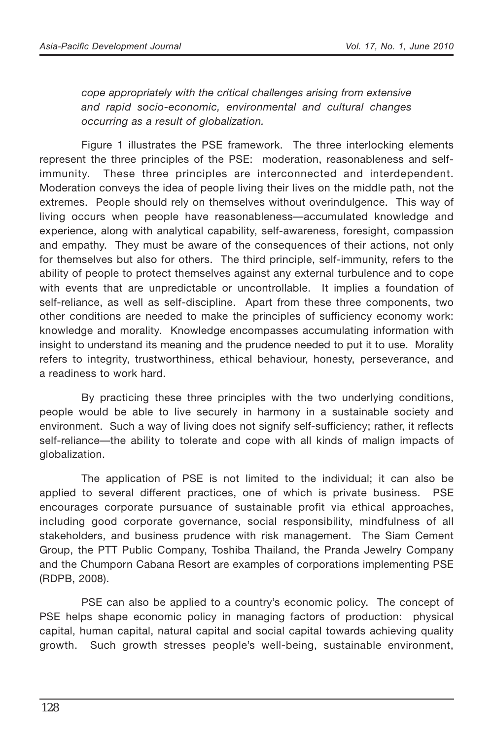*cope appropriately with the critical challenges arising from extensive and rapid socio-economic, environmental and cultural changes occurring as a result of globalization.*

Figure 1 illustrates the PSE framework. The three interlocking elements represent the three principles of the PSE: moderation, reasonableness and selfimmunity. These three principles are interconnected and interdependent. Moderation conveys the idea of people living their lives on the middle path, not the extremes. People should rely on themselves without overindulgence. This way of living occurs when people have reasonableness—accumulated knowledge and experience, along with analytical capability, self-awareness, foresight, compassion and empathy. They must be aware of the consequences of their actions, not only for themselves but also for others. The third principle, self-immunity, refers to the ability of people to protect themselves against any external turbulence and to cope with events that are unpredictable or uncontrollable. It implies a foundation of self-reliance, as well as self-discipline. Apart from these three components, two other conditions are needed to make the principles of sufficiency economy work: knowledge and morality. Knowledge encompasses accumulating information with insight to understand its meaning and the prudence needed to put it to use. Morality refers to integrity, trustworthiness, ethical behaviour, honesty, perseverance, and a readiness to work hard.

By practicing these three principles with the two underlying conditions, people would be able to live securely in harmony in a sustainable society and environment. Such a way of living does not signify self-sufficiency; rather, it reflects self-reliance—the ability to tolerate and cope with all kinds of malign impacts of globalization.

The application of PSE is not limited to the individual; it can also be applied to several different practices, one of which is private business. PSE encourages corporate pursuance of sustainable profit via ethical approaches, including good corporate governance, social responsibility, mindfulness of all stakeholders, and business prudence with risk management. The Siam Cement Group, the PTT Public Company, Toshiba Thailand, the Pranda Jewelry Company and the Chumporn Cabana Resort are examples of corporations implementing PSE (RDPB, 2008).

PSE can also be applied to a country's economic policy. The concept of PSE helps shape economic policy in managing factors of production: physical capital, human capital, natural capital and social capital towards achieving quality growth. Such growth stresses people's well-being, sustainable environment,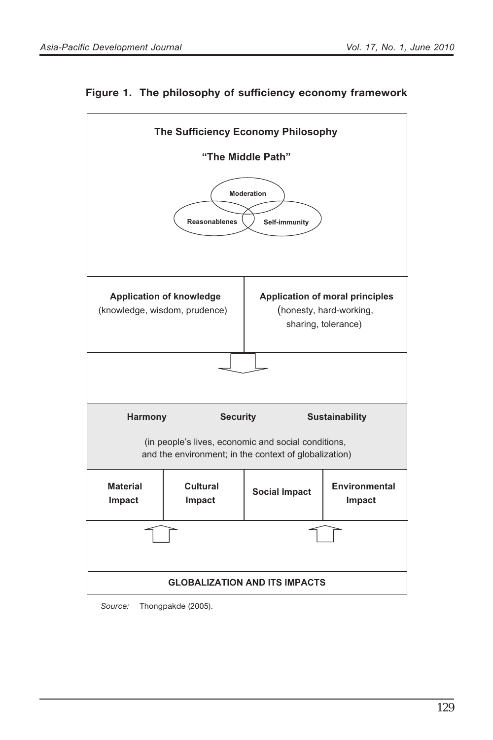



*Source:* Thongpakde (2005).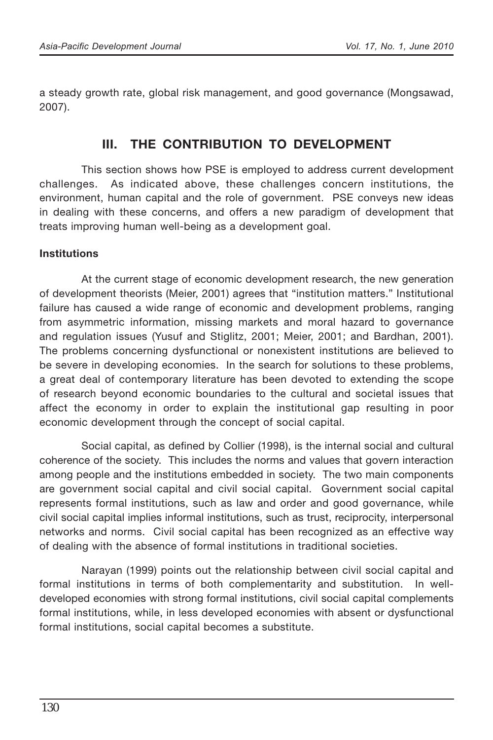a steady growth rate, global risk management, and good governance (Mongsawad, 2007).

## **III. THE CONTRIBUTION TO DEVELOPMENT**

This section shows how PSE is employed to address current development challenges. As indicated above, these challenges concern institutions, the environment, human capital and the role of government. PSE conveys new ideas in dealing with these concerns, and offers a new paradigm of development that treats improving human well-being as a development goal.

#### **Institutions**

At the current stage of economic development research, the new generation of development theorists (Meier, 2001) agrees that "institution matters." Institutional failure has caused a wide range of economic and development problems, ranging from asymmetric information, missing markets and moral hazard to governance and regulation issues (Yusuf and Stiglitz, 2001; Meier, 2001; and Bardhan, 2001). The problems concerning dysfunctional or nonexistent institutions are believed to be severe in developing economies. In the search for solutions to these problems, a great deal of contemporary literature has been devoted to extending the scope of research beyond economic boundaries to the cultural and societal issues that affect the economy in order to explain the institutional gap resulting in poor economic development through the concept of social capital.

Social capital, as defined by Collier (1998), is the internal social and cultural coherence of the society. This includes the norms and values that govern interaction among people and the institutions embedded in society. The two main components are government social capital and civil social capital. Government social capital represents formal institutions, such as law and order and good governance, while civil social capital implies informal institutions, such as trust, reciprocity, interpersonal networks and norms. Civil social capital has been recognized as an effective way of dealing with the absence of formal institutions in traditional societies.

Narayan (1999) points out the relationship between civil social capital and formal institutions in terms of both complementarity and substitution. In welldeveloped economies with strong formal institutions, civil social capital complements formal institutions, while, in less developed economies with absent or dysfunctional formal institutions, social capital becomes a substitute.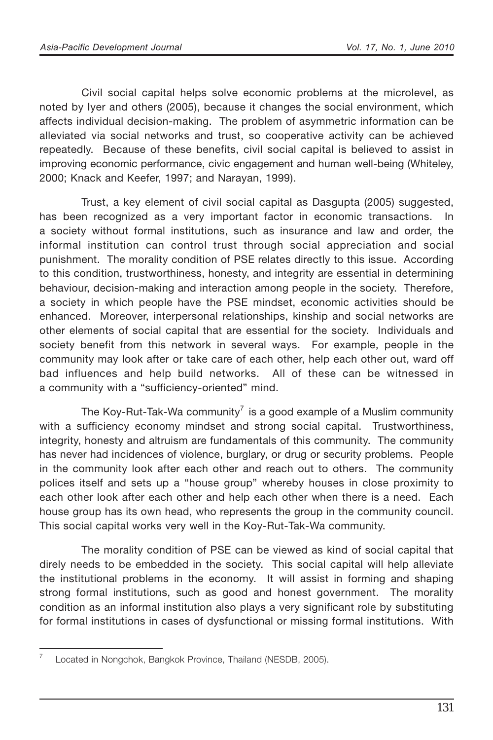Civil social capital helps solve economic problems at the microlevel, as noted by Iyer and others (2005), because it changes the social environment, which affects individual decision-making. The problem of asymmetric information can be alleviated via social networks and trust, so cooperative activity can be achieved repeatedly. Because of these benefits, civil social capital is believed to assist in improving economic performance, civic engagement and human well-being (Whiteley, 2000; Knack and Keefer, 1997; and Narayan, 1999).

Trust, a key element of civil social capital as Dasgupta (2005) suggested, has been recognized as a very important factor in economic transactions. In a society without formal institutions, such as insurance and law and order, the informal institution can control trust through social appreciation and social punishment. The morality condition of PSE relates directly to this issue. According to this condition, trustworthiness, honesty, and integrity are essential in determining behaviour, decision-making and interaction among people in the society. Therefore, a society in which people have the PSE mindset, economic activities should be enhanced. Moreover, interpersonal relationships, kinship and social networks are other elements of social capital that are essential for the society. Individuals and society benefit from this network in several ways. For example, people in the community may look after or take care of each other, help each other out, ward off bad influences and help build networks. All of these can be witnessed in a community with a "sufficiency-oriented" mind.

The Koy-Rut-Tak-Wa community<sup>7</sup> is a good example of a Muslim community with a sufficiency economy mindset and strong social capital. Trustworthiness, integrity, honesty and altruism are fundamentals of this community. The community has never had incidences of violence, burglary, or drug or security problems. People in the community look after each other and reach out to others. The community polices itself and sets up a "house group" whereby houses in close proximity to each other look after each other and help each other when there is a need. Each house group has its own head, who represents the group in the community council. This social capital works very well in the Koy-Rut-Tak-Wa community.

The morality condition of PSE can be viewed as kind of social capital that direly needs to be embedded in the society. This social capital will help alleviate the institutional problems in the economy. It will assist in forming and shaping strong formal institutions, such as good and honest government. The morality condition as an informal institution also plays a very significant role by substituting for formal institutions in cases of dysfunctional or missing formal institutions. With

<sup>&</sup>lt;sup>7</sup> Located in Nongchok, Bangkok Province, Thailand (NESDB, 2005).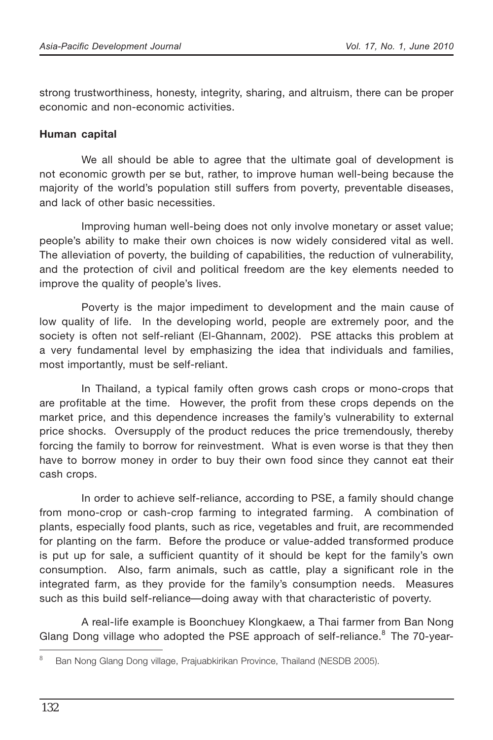strong trustworthiness, honesty, integrity, sharing, and altruism, there can be proper economic and non-economic activities.

#### **Human capital**

We all should be able to agree that the ultimate goal of development is not economic growth per se but, rather, to improve human well-being because the majority of the world's population still suffers from poverty, preventable diseases, and lack of other basic necessities.

Improving human well-being does not only involve monetary or asset value; people's ability to make their own choices is now widely considered vital as well. The alleviation of poverty, the building of capabilities, the reduction of vulnerability, and the protection of civil and political freedom are the key elements needed to improve the quality of people's lives.

Poverty is the major impediment to development and the main cause of low quality of life. In the developing world, people are extremely poor, and the society is often not self-reliant (El-Ghannam, 2002). PSE attacks this problem at a very fundamental level by emphasizing the idea that individuals and families, most importantly, must be self-reliant.

In Thailand, a typical family often grows cash crops or mono-crops that are profitable at the time. However, the profit from these crops depends on the market price, and this dependence increases the family's vulnerability to external price shocks. Oversupply of the product reduces the price tremendously, thereby forcing the family to borrow for reinvestment. What is even worse is that they then have to borrow money in order to buy their own food since they cannot eat their cash crops.

In order to achieve self-reliance, according to PSE, a family should change from mono-crop or cash-crop farming to integrated farming. A combination of plants, especially food plants, such as rice, vegetables and fruit, are recommended for planting on the farm. Before the produce or value-added transformed produce is put up for sale, a sufficient quantity of it should be kept for the family's own consumption. Also, farm animals, such as cattle, play a significant role in the integrated farm, as they provide for the family's consumption needs. Measures such as this build self-reliance—doing away with that characteristic of poverty.

A real-life example is Boonchuey Klongkaew, a Thai farmer from Ban Nong Glang Dong village who adopted the PSE approach of self-reliance.<sup>8</sup> The 70-year-

<sup>&</sup>lt;sup>8</sup> Ban Nong Glang Dong village, Prajuabkirikan Province, Thailand (NESDB 2005).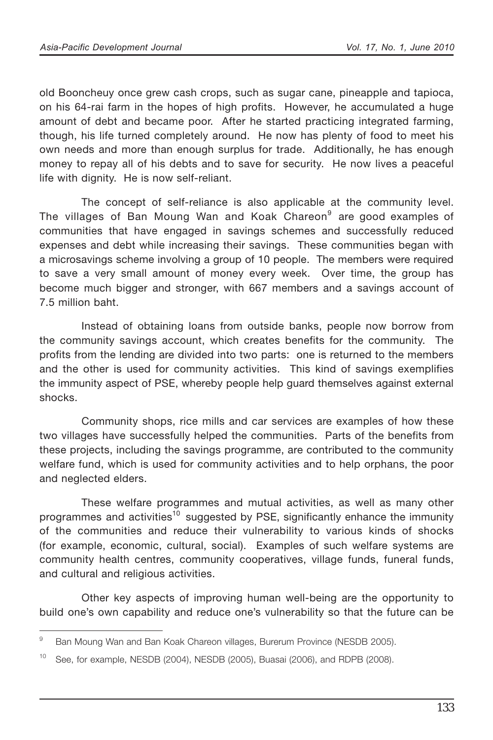old Booncheuy once grew cash crops, such as sugar cane, pineapple and tapioca, on his 64-rai farm in the hopes of high profits. However, he accumulated a huge amount of debt and became poor. After he started practicing integrated farming, though, his life turned completely around. He now has plenty of food to meet his own needs and more than enough surplus for trade. Additionally, he has enough money to repay all of his debts and to save for security. He now lives a peaceful life with dignity. He is now self-reliant.

The concept of self-reliance is also applicable at the community level. The villages of Ban Moung Wan and Koak Chareon<sup>9</sup> are good examples of communities that have engaged in savings schemes and successfully reduced expenses and debt while increasing their savings. These communities began with a microsavings scheme involving a group of 10 people. The members were required to save a very small amount of money every week. Over time, the group has become much bigger and stronger, with 667 members and a savings account of 7.5 million baht.

Instead of obtaining loans from outside banks, people now borrow from the community savings account, which creates benefits for the community. The profits from the lending are divided into two parts: one is returned to the members and the other is used for community activities. This kind of savings exemplifies the immunity aspect of PSE, whereby people help guard themselves against external shocks.

Community shops, rice mills and car services are examples of how these two villages have successfully helped the communities. Parts of the benefits from these projects, including the savings programme, are contributed to the community welfare fund, which is used for community activities and to help orphans, the poor and neglected elders.

These welfare programmes and mutual activities, as well as many other programmes and activities<sup>10</sup> suggested by PSE, significantly enhance the immunity of the communities and reduce their vulnerability to various kinds of shocks (for example, economic, cultural, social). Examples of such welfare systems are community health centres, community cooperatives, village funds, funeral funds, and cultural and religious activities.

Other key aspects of improving human well-being are the opportunity to build one's own capability and reduce one's vulnerability so that the future can be

<sup>&</sup>lt;sup>9</sup> Ban Moung Wan and Ban Koak Chareon villages, Burerum Province (NESDB 2005).

<sup>&</sup>lt;sup>10</sup> See, for example, NESDB (2004), NESDB (2005), Buasai (2006), and RDPB (2008).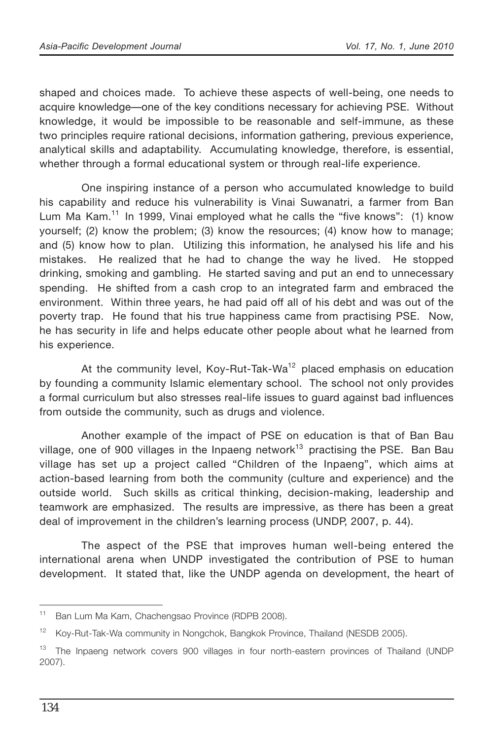shaped and choices made. To achieve these aspects of well-being, one needs to acquire knowledge—one of the key conditions necessary for achieving PSE. Without knowledge, it would be impossible to be reasonable and self-immune, as these two principles require rational decisions, information gathering, previous experience, analytical skills and adaptability. Accumulating knowledge, therefore, is essential, whether through a formal educational system or through real-life experience.

One inspiring instance of a person who accumulated knowledge to build his capability and reduce his vulnerability is Vinai Suwanatri, a farmer from Ban Lum Ma Kam.<sup>11</sup> In 1999, Vinai employed what he calls the "five knows": (1) know yourself; (2) know the problem; (3) know the resources; (4) know how to manage; and (5) know how to plan. Utilizing this information, he analysed his life and his mistakes. He realized that he had to change the way he lived. He stopped drinking, smoking and gambling. He started saving and put an end to unnecessary spending. He shifted from a cash crop to an integrated farm and embraced the environment. Within three years, he had paid off all of his debt and was out of the poverty trap. He found that his true happiness came from practising PSE. Now, he has security in life and helps educate other people about what he learned from his experience.

At the community level, Koy-Rut-Tak-Wa<sup>12</sup> placed emphasis on education by founding a community Islamic elementary school. The school not only provides a formal curriculum but also stresses real-life issues to guard against bad influences from outside the community, such as drugs and violence.

Another example of the impact of PSE on education is that of Ban Bau village, one of 900 villages in the Inpaeng network<sup>13</sup> practising the PSE. Ban Bau village has set up a project called "Children of the Inpaeng", which aims at action-based learning from both the community (culture and experience) and the outside world. Such skills as critical thinking, decision-making, leadership and teamwork are emphasized. The results are impressive, as there has been a great deal of improvement in the children's learning process (UNDP, 2007, p. 44).

The aspect of the PSE that improves human well-being entered the international arena when UNDP investigated the contribution of PSE to human development. It stated that, like the UNDP agenda on development, the heart of

<sup>11</sup> Ban Lum Ma Kam, Chachengsao Province (RDPB 2008).

<sup>&</sup>lt;sup>12</sup> Koy-Rut-Tak-Wa community in Nongchok, Bangkok Province, Thailand (NESDB 2005).

<sup>&</sup>lt;sup>13</sup> The Inpaeng network covers 900 villages in four north-eastern provinces of Thailand (UNDP 2007).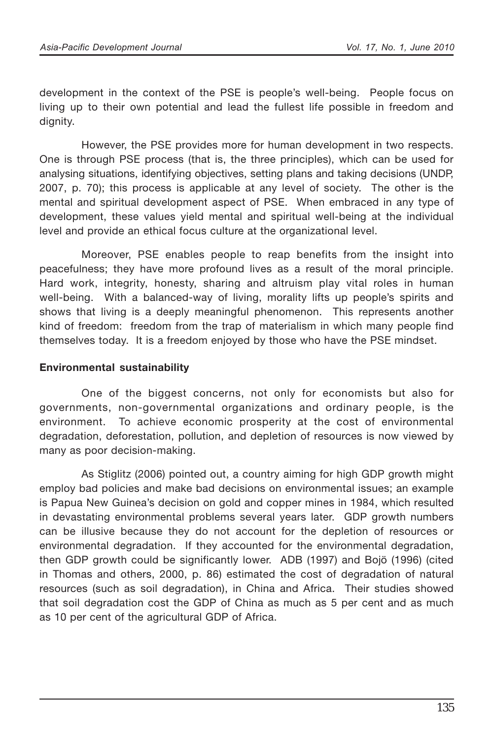development in the context of the PSE is people's well-being. People focus on living up to their own potential and lead the fullest life possible in freedom and dignity.

However, the PSE provides more for human development in two respects. One is through PSE process (that is, the three principles), which can be used for analysing situations, identifying objectives, setting plans and taking decisions (UNDP, 2007, p. 70); this process is applicable at any level of society. The other is the mental and spiritual development aspect of PSE. When embraced in any type of development, these values yield mental and spiritual well-being at the individual level and provide an ethical focus culture at the organizational level.

Moreover, PSE enables people to reap benefits from the insight into peacefulness; they have more profound lives as a result of the moral principle. Hard work, integrity, honesty, sharing and altruism play vital roles in human well-being. With a balanced-way of living, morality lifts up people's spirits and shows that living is a deeply meaningful phenomenon. This represents another kind of freedom: freedom from the trap of materialism in which many people find themselves today. It is a freedom enjoyed by those who have the PSE mindset.

#### **Environmental sustainability**

One of the biggest concerns, not only for economists but also for governments, non-governmental organizations and ordinary people, is the environment. To achieve economic prosperity at the cost of environmental degradation, deforestation, pollution, and depletion of resources is now viewed by many as poor decision-making.

As Stiglitz (2006) pointed out, a country aiming for high GDP growth might employ bad policies and make bad decisions on environmental issues; an example is Papua New Guinea's decision on gold and copper mines in 1984, which resulted in devastating environmental problems several years later. GDP growth numbers can be illusive because they do not account for the depletion of resources or environmental degradation. If they accounted for the environmental degradation, then GDP growth could be significantly lower. ADB (1997) and Bojö (1996) (cited in Thomas and others, 2000, p. 86) estimated the cost of degradation of natural resources (such as soil degradation), in China and Africa. Their studies showed that soil degradation cost the GDP of China as much as 5 per cent and as much as 10 per cent of the agricultural GDP of Africa.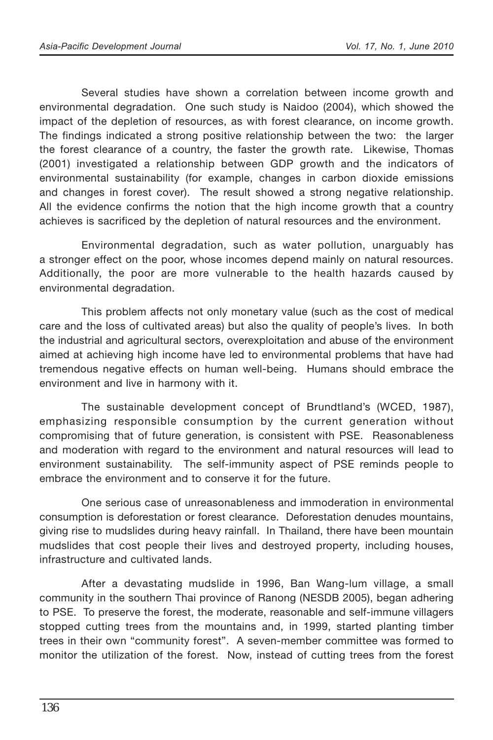Several studies have shown a correlation between income growth and environmental degradation. One such study is Naidoo (2004), which showed the impact of the depletion of resources, as with forest clearance, on income growth. The findings indicated a strong positive relationship between the two: the larger the forest clearance of a country, the faster the growth rate. Likewise, Thomas (2001) investigated a relationship between GDP growth and the indicators of environmental sustainability (for example, changes in carbon dioxide emissions and changes in forest cover). The result showed a strong negative relationship. All the evidence confirms the notion that the high income growth that a country achieves is sacrificed by the depletion of natural resources and the environment.

Environmental degradation, such as water pollution, unarguably has a stronger effect on the poor, whose incomes depend mainly on natural resources. Additionally, the poor are more vulnerable to the health hazards caused by environmental degradation.

This problem affects not only monetary value (such as the cost of medical care and the loss of cultivated areas) but also the quality of people's lives. In both the industrial and agricultural sectors, overexploitation and abuse of the environment aimed at achieving high income have led to environmental problems that have had tremendous negative effects on human well-being. Humans should embrace the environment and live in harmony with it.

The sustainable development concept of Brundtland's (WCED, 1987), emphasizing responsible consumption by the current generation without compromising that of future generation, is consistent with PSE. Reasonableness and moderation with regard to the environment and natural resources will lead to environment sustainability. The self-immunity aspect of PSE reminds people to embrace the environment and to conserve it for the future.

One serious case of unreasonableness and immoderation in environmental consumption is deforestation or forest clearance. Deforestation denudes mountains, giving rise to mudslides during heavy rainfall. In Thailand, there have been mountain mudslides that cost people their lives and destroyed property, including houses, infrastructure and cultivated lands.

After a devastating mudslide in 1996, Ban Wang-lum village, a small community in the southern Thai province of Ranong (NESDB 2005), began adhering to PSE. To preserve the forest, the moderate, reasonable and self-immune villagers stopped cutting trees from the mountains and, in 1999, started planting timber trees in their own "community forest". A seven-member committee was formed to monitor the utilization of the forest. Now, instead of cutting trees from the forest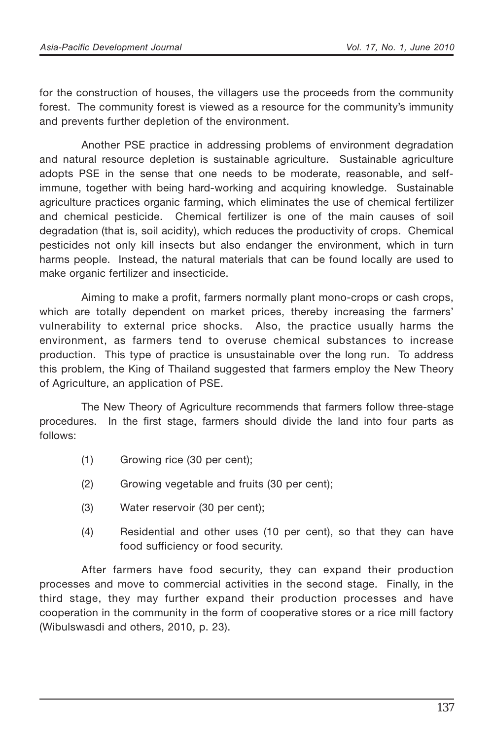for the construction of houses, the villagers use the proceeds from the community forest. The community forest is viewed as a resource for the community's immunity and prevents further depletion of the environment.

Another PSE practice in addressing problems of environment degradation and natural resource depletion is sustainable agriculture. Sustainable agriculture adopts PSE in the sense that one needs to be moderate, reasonable, and selfimmune, together with being hard-working and acquiring knowledge. Sustainable agriculture practices organic farming, which eliminates the use of chemical fertilizer and chemical pesticide. Chemical fertilizer is one of the main causes of soil degradation (that is, soil acidity), which reduces the productivity of crops. Chemical pesticides not only kill insects but also endanger the environment, which in turn harms people. Instead, the natural materials that can be found locally are used to make organic fertilizer and insecticide.

Aiming to make a profit, farmers normally plant mono-crops or cash crops, which are totally dependent on market prices, thereby increasing the farmers' vulnerability to external price shocks. Also, the practice usually harms the environment, as farmers tend to overuse chemical substances to increase production. This type of practice is unsustainable over the long run. To address this problem, the King of Thailand suggested that farmers employ the New Theory of Agriculture, an application of PSE.

The New Theory of Agriculture recommends that farmers follow three-stage procedures. In the first stage, farmers should divide the land into four parts as follows:

- (1) Growing rice (30 per cent);
- (2) Growing vegetable and fruits (30 per cent);
- (3) Water reservoir (30 per cent);
- (4) Residential and other uses (10 per cent), so that they can have food sufficiency or food security.

After farmers have food security, they can expand their production processes and move to commercial activities in the second stage. Finally, in the third stage, they may further expand their production processes and have cooperation in the community in the form of cooperative stores or a rice mill factory (Wibulswasdi and others, 2010, p. 23).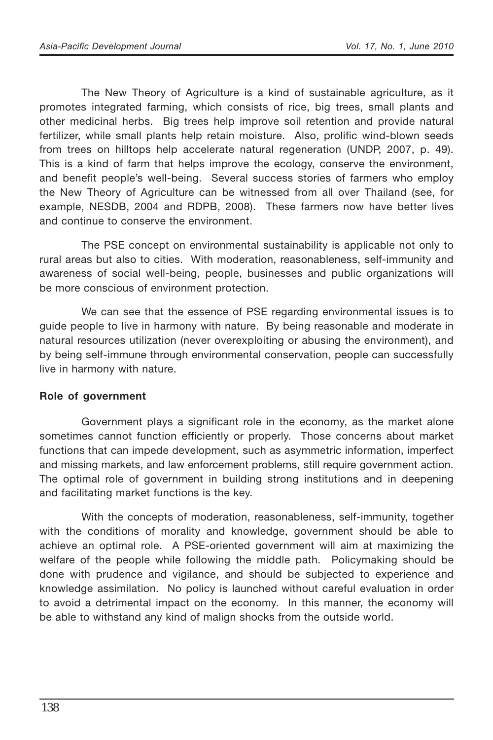The New Theory of Agriculture is a kind of sustainable agriculture, as it promotes integrated farming, which consists of rice, big trees, small plants and other medicinal herbs. Big trees help improve soil retention and provide natural fertilizer, while small plants help retain moisture. Also, prolific wind-blown seeds from trees on hilltops help accelerate natural regeneration (UNDP, 2007, p. 49). This is a kind of farm that helps improve the ecology, conserve the environment, and benefit people's well-being. Several success stories of farmers who employ the New Theory of Agriculture can be witnessed from all over Thailand (see, for example, NESDB, 2004 and RDPB, 2008). These farmers now have better lives and continue to conserve the environment.

The PSE concept on environmental sustainability is applicable not only to rural areas but also to cities. With moderation, reasonableness, self-immunity and awareness of social well-being, people, businesses and public organizations will be more conscious of environment protection.

We can see that the essence of PSE regarding environmental issues is to guide people to live in harmony with nature. By being reasonable and moderate in natural resources utilization (never overexploiting or abusing the environment), and by being self-immune through environmental conservation, people can successfully live in harmony with nature.

#### **Role of government**

Government plays a significant role in the economy, as the market alone sometimes cannot function efficiently or properly. Those concerns about market functions that can impede development, such as asymmetric information, imperfect and missing markets, and law enforcement problems, still require government action. The optimal role of government in building strong institutions and in deepening and facilitating market functions is the key.

With the concepts of moderation, reasonableness, self-immunity, together with the conditions of morality and knowledge, government should be able to achieve an optimal role. A PSE-oriented government will aim at maximizing the welfare of the people while following the middle path. Policymaking should be done with prudence and vigilance, and should be subjected to experience and knowledge assimilation. No policy is launched without careful evaluation in order to avoid a detrimental impact on the economy. In this manner, the economy will be able to withstand any kind of malign shocks from the outside world.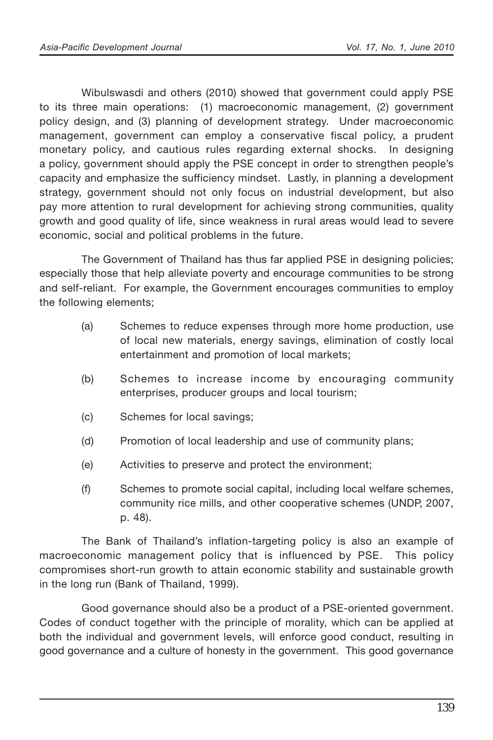Wibulswasdi and others (2010) showed that government could apply PSE to its three main operations: (1) macroeconomic management, (2) government policy design, and (3) planning of development strategy. Under macroeconomic management, government can employ a conservative fiscal policy, a prudent monetary policy, and cautious rules regarding external shocks. In designing a policy, government should apply the PSE concept in order to strengthen people's capacity and emphasize the sufficiency mindset. Lastly, in planning a development strategy, government should not only focus on industrial development, but also pay more attention to rural development for achieving strong communities, quality growth and good quality of life, since weakness in rural areas would lead to severe economic, social and political problems in the future.

The Government of Thailand has thus far applied PSE in designing policies; especially those that help alleviate poverty and encourage communities to be strong and self-reliant. For example, the Government encourages communities to employ the following elements;

- (a) Schemes to reduce expenses through more home production, use of local new materials, energy savings, elimination of costly local entertainment and promotion of local markets;
- (b) Schemes to increase income by encouraging community enterprises, producer groups and local tourism;
- (c) Schemes for local savings;
- (d) Promotion of local leadership and use of community plans;
- (e) Activities to preserve and protect the environment;
- (f) Schemes to promote social capital, including local welfare schemes, community rice mills, and other cooperative schemes (UNDP, 2007, p. 48).

The Bank of Thailand's inflation-targeting policy is also an example of macroeconomic management policy that is influenced by PSE. This policy compromises short-run growth to attain economic stability and sustainable growth in the long run (Bank of Thailand, 1999).

Good governance should also be a product of a PSE-oriented government. Codes of conduct together with the principle of morality, which can be applied at both the individual and government levels, will enforce good conduct, resulting in good governance and a culture of honesty in the government. This good governance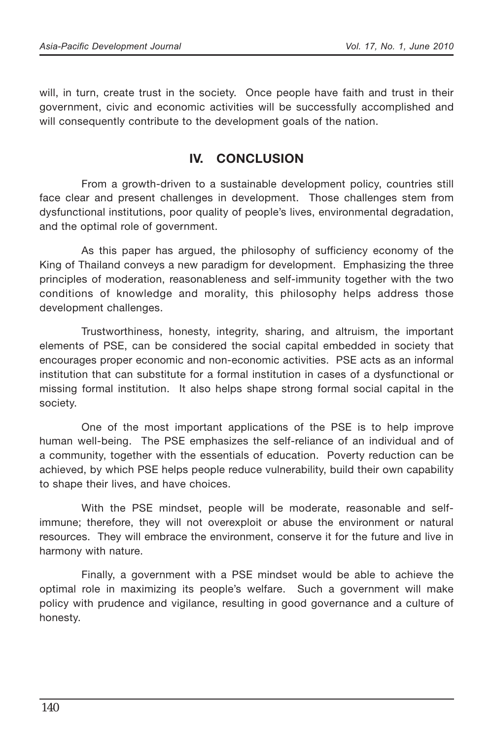will, in turn, create trust in the society. Once people have faith and trust in their government, civic and economic activities will be successfully accomplished and will consequently contribute to the development goals of the nation.

## **IV. CONCLUSION**

From a growth-driven to a sustainable development policy, countries still face clear and present challenges in development. Those challenges stem from dysfunctional institutions, poor quality of people's lives, environmental degradation, and the optimal role of government.

As this paper has argued, the philosophy of sufficiency economy of the King of Thailand conveys a new paradigm for development. Emphasizing the three principles of moderation, reasonableness and self-immunity together with the two conditions of knowledge and morality, this philosophy helps address those development challenges.

Trustworthiness, honesty, integrity, sharing, and altruism, the important elements of PSE, can be considered the social capital embedded in society that encourages proper economic and non-economic activities. PSE acts as an informal institution that can substitute for a formal institution in cases of a dysfunctional or missing formal institution. It also helps shape strong formal social capital in the society.

One of the most important applications of the PSE is to help improve human well-being. The PSE emphasizes the self-reliance of an individual and of a community, together with the essentials of education. Poverty reduction can be achieved, by which PSE helps people reduce vulnerability, build their own capability to shape their lives, and have choices.

With the PSE mindset, people will be moderate, reasonable and selfimmune; therefore, they will not overexploit or abuse the environment or natural resources. They will embrace the environment, conserve it for the future and live in harmony with nature.

Finally, a government with a PSE mindset would be able to achieve the optimal role in maximizing its people's welfare. Such a government will make policy with prudence and vigilance, resulting in good governance and a culture of honesty.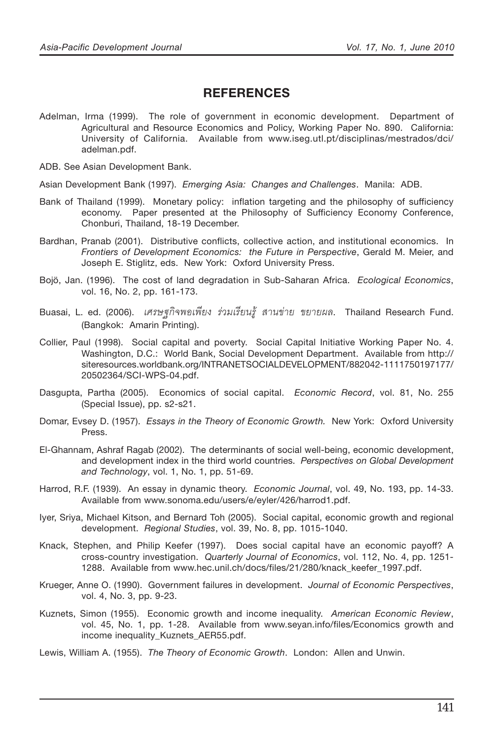### **REFERENCES**

Adelman, Irma (1999). The role of government in economic development. Department of Agricultural and Resource Economics and Policy, Working Paper No. 890. California: University of California. Available from www.iseg.utl.pt/disciplinas/mestrados/dci/ adelman.pdf.

ADB. See Asian Development Bank.

Asian Development Bank (1997). *Emerging Asia: Changes and Challenges*. Manila: ADB.

- Bank of Thailand (1999). Monetary policy: inflation targeting and the philosophy of sufficiency economy. Paper presented at the Philosophy of Sufficiency Economy Conference, Chonburi, Thailand, 18-19 December.
- Bardhan, Pranab (2001). Distributive conflicts, collective action, and institutional economics. In *Frontiers of Development Economics: the Future in Perspective*, Gerald M. Meier, and Joseph E. Stiglitz, eds. New York: Oxford University Press.
- Bojö, Jan. (1996). The cost of land degradation in Sub-Saharan Africa. *Ecological Economics*, vol. 16, No. 2, pp. 161-173.
- Buasai, L. ed. (2006). *เศรษฐกิจพอเพียง ร่วมเรียนรู้ สานข่าย ขยายผล*. Thailand Research Fund. (Bangkok: Amarin Printing).
- Collier, Paul (1998). Social capital and poverty. Social Capital Initiative Working Paper No. 4. Washington, D.C.: World Bank, Social Development Department. Available from http:// siteresources.worldbank.org/INTRANETSOCIALDEVELOPMENT/882042-1111750197177/ 20502364/SCI-WPS-04.pdf.
- Dasgupta, Partha (2005). Economics of social capital. *Economic Record*, vol. 81, No. 255 (Special Issue), pp. s2-s21.
- Domar, Evsey D. (1957). *Essays in the Theory of Economic Growth.* New York: Oxford University Press.
- El-Ghannam, Ashraf Ragab (2002). The determinants of social well-being, economic development, and development index in the third world countries. *Perspectives on Global Development and Technology*, vol. 1, No. 1, pp. 51-69.
- Harrod, R.F. (1939). An essay in dynamic theory. *Economic Journal*, vol. 49, No. 193, pp. 14-33. Available from www.sonoma.edu/users/e/eyler/426/harrod1.pdf.
- Iyer, Sriya, Michael Kitson, and Bernard Toh (2005). Social capital, economic growth and regional development. *Regional Studies*, vol. 39, No. 8, pp. 1015-1040.
- Knack, Stephen, and Philip Keefer (1997). Does social capital have an economic payoff? A cross-country investigation. *Quarterly Journal of Economics*, vol. 112, No. 4, pp. 1251- 1288. Available from www.hec.unil.ch/docs/files/21/280/knack\_keefer\_1997.pdf.
- Krueger, Anne O. (1990). Government failures in development. *Journal of Economic Perspectives*, vol. 4, No. 3, pp. 9-23.
- Kuznets, Simon (1955). Economic growth and income inequality. *American Economic Review*, vol. 45, No. 1, pp. 1-28. Available from www.seyan.info/files/Economics growth and income inequality\_Kuznets\_AER55.pdf.
- Lewis, William A. (1955). *The Theory of Economic Growth*. London: Allen and Unwin.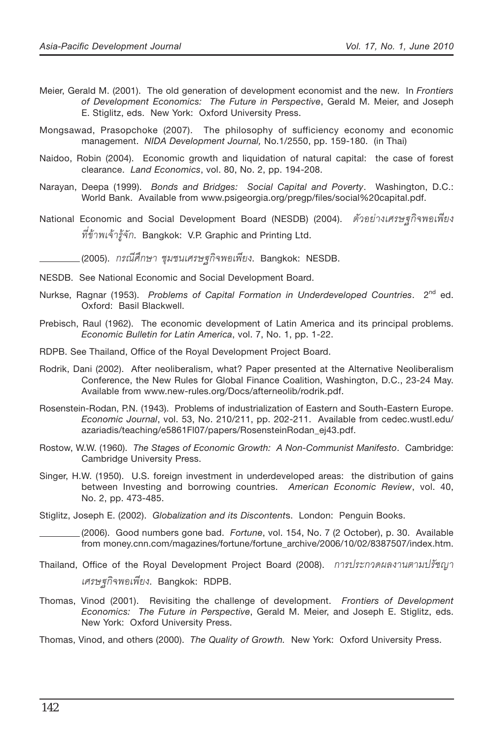- Meier, Gerald M. (2001). The old generation of development economist and the new. In *Frontiers of Development Economics: The Future in Perspective*, Gerald M. Meier, and Joseph E. Stiglitz, eds. New York: Oxford University Press.
- Mongsawad, Prasopchoke (2007). The philosophy of sufficiency economy and economic management. *NIDA Development Journal,* No.1/2550, pp. 159-180. (in Thai)
- Naidoo, Robin (2004). Economic growth and liquidation of natural capital: the case of forest clearance. *Land Economics*, vol. 80, No. 2, pp. 194-208.
- Narayan, Deepa (1999). *Bonds and Bridges: Social Capital and Poverty*. Washington, D.C.: World Bank. Available from www.psigeorgia.org/pregp/files/social%20capital.pdf.
- National Economic and Social Development Board (NESDB) (2004). ตัวอย่างเศรษฐกิจพอเพียง  $\tilde{\eta}$ ข้าพเจ้ารู้จัก. Bangkok: V.P. Graphic and Printing Ltd.

(2005). *°√≥'»÷°…" ™ÿ¡™π‡»√…∞°'®æÕ‡æ'¬ß*. Bangkok: NESDB.

- NESDB. See National Economic and Social Development Board.
- Nurkse, Ragnar (1953). Problems of Capital Formation in Underdeveloped Countries. 2<sup>nd</sup> ed. Oxford: Basil Blackwell.
- Prebisch, Raul (1962). The economic development of Latin America and its principal problems. *Economic Bulletin for Latin America*, vol. 7, No. 1, pp. 1-22.
- RDPB. See Thailand, Office of the Royal Development Project Board.
- Rodrik, Dani (2002). After neoliberalism, what? Paper presented at the Alternative Neoliberalism Conference, the New Rules for Global Finance Coalition, Washington, D.C., 23-24 May. Available from www.new-rules.org/Docs/afterneolib/rodrik.pdf.
- Rosenstein-Rodan, P.N. (1943). Problems of industrialization of Eastern and South-Eastern Europe. *Economic Journal*, vol. 53, No. 210/211, pp. 202-211. Available from cedec.wustl.edu/ azariadis/teaching/e5861Fl07/papers/RosensteinRodan\_ej43.pdf.
- Rostow, W.W. (1960). *The Stages of Economic Growth: A Non-Communist Manifesto*. Cambridge: Cambridge University Press.
- Singer, H.W. (1950). U.S. foreign investment in underdeveloped areas: the distribution of gains between Investing and borrowing countries. *American Economic Review*, vol. 40, No. 2, pp. 473-485.
- Stiglitz, Joseph E. (2002). *Globalization and its Discontent*s. London: Penguin Books.

(2006). Good numbers gone bad. *Fortune*, vol. 154, No. 7 (2 October), p. 30. Available from money.cnn.com/magazines/fortune/fortune\_archive/2006/10/02/8387507/index.htm.

- Thailand, Office of the Royal Development Project Board (2008). *การประกวดผลงานตามปรัชฌา เศรษฐกิจพอเพียง*. Bangkok: RDPB.
- Thomas, Vinod (2001). Revisiting the challenge of development. *Frontiers of Development Economics: The Future in Perspective*, Gerald M. Meier, and Joseph E. Stiglitz, eds. New York: Oxford University Press.
- Thomas, Vinod, and others (2000). *The Quality of Growth.* New York: Oxford University Press.